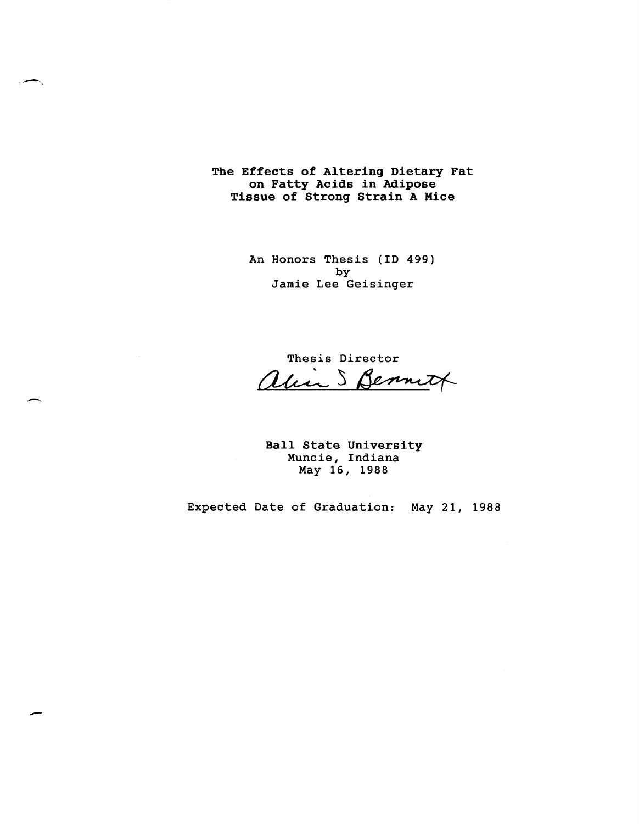The Effects of Altering Dietary Fat on Fatty Acids in Adipose Tissue of Strong Strain A Mice

.-

-.

-

An Honors Thesis (ID 499) by Jamie Lee Geisinger

Thesis Director alin S Benne

Ball State University Muncie, Indiana May 16, 1988

Expected Date of Graduation: May 21, 1988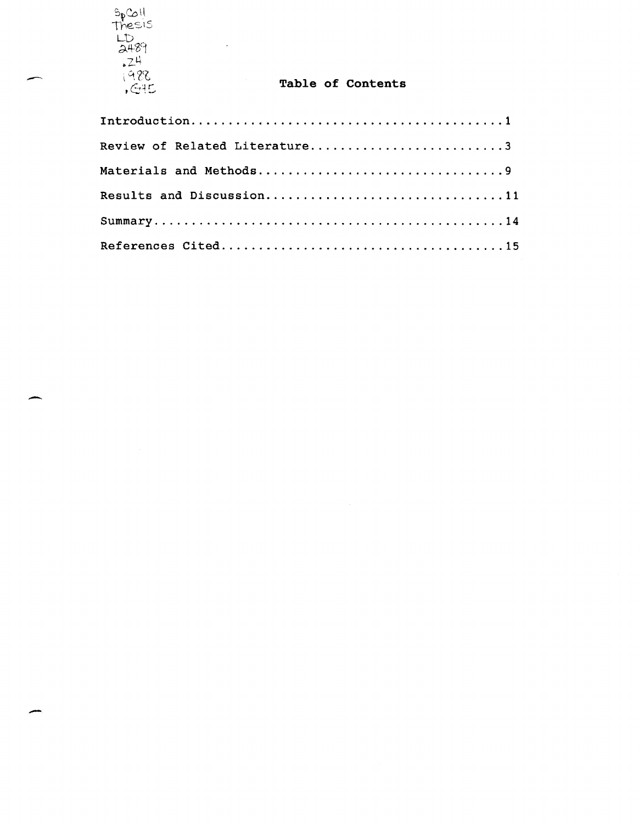$\mathfrak{so}_\mathfrak{p}$ Co II Thesis Lb 2489  $\mathsf{Z}^{\mathsf{L}}$  $\frac{1}{2}$  98,

-

-

# Table of Contents

| Review of Related Literature3 |
|-------------------------------|
| Materials and Methods9        |
| Results and Discussion11      |
|                               |
|                               |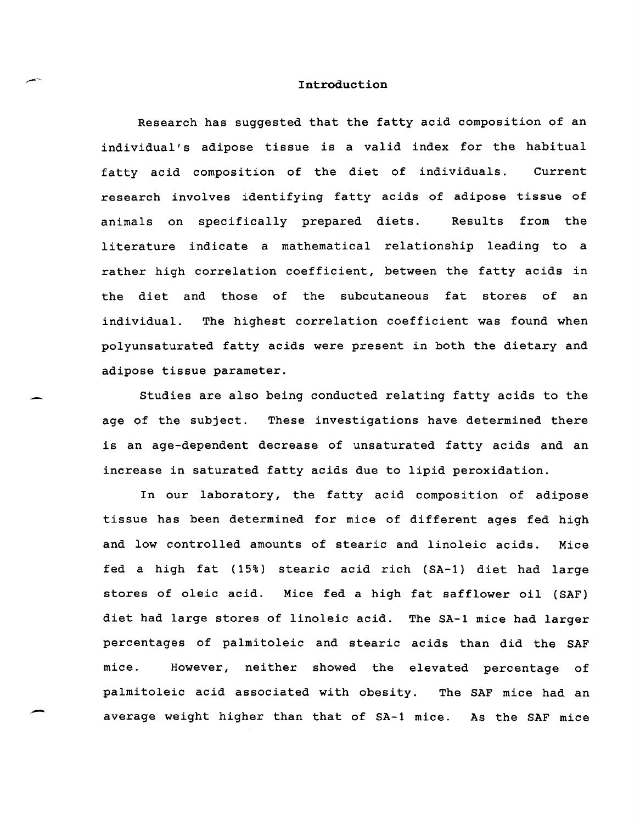#### **Introduction**

Research has suggested that the fatty acid composition of an individual's adipose tissue is a valid index for the habitual fatty acid composition of the diet of individuals. Current research involves identifying fatty acids of adipose tissue of animals on specifically prepared diets. Results from the literature indicate a mathematical relationship leading to a rather high correlation coefficient, between the fatty acids in the diet and those of the subcutaneous fat stores of an individual. The highest correlation coefficient was found when polyunsaturated fatty acids were present in both the dietary and adipose tissue parameter.

Studies are also being conducted relating fatty acids to the age of the subject. These investigations have determined there is an age-dependent decrease of unsaturated fatty acids and an increase in saturated fatty acids due to lipid peroxidation.

In our laboratory, the fatty acid composition of adipose tissue has been determined for mice of different ages fed high and low controlled amounts of stearic and linoleic acids. Mice fed a high fat (15%) stearic acid rich (SA-1) diet had large stores of oleic acid. Mice fed a high fat safflower oil (SAP) diet had large stores of linoleic acid. The SA-1 mice had larger percentages of palmitoleic and stearic acids than did the SAF mice. However, neither showed the elevated percentage of palmitoleic acid associated with obesity. The SAF mice had an average weight higher than that of SA-1 mice. As the SAP mice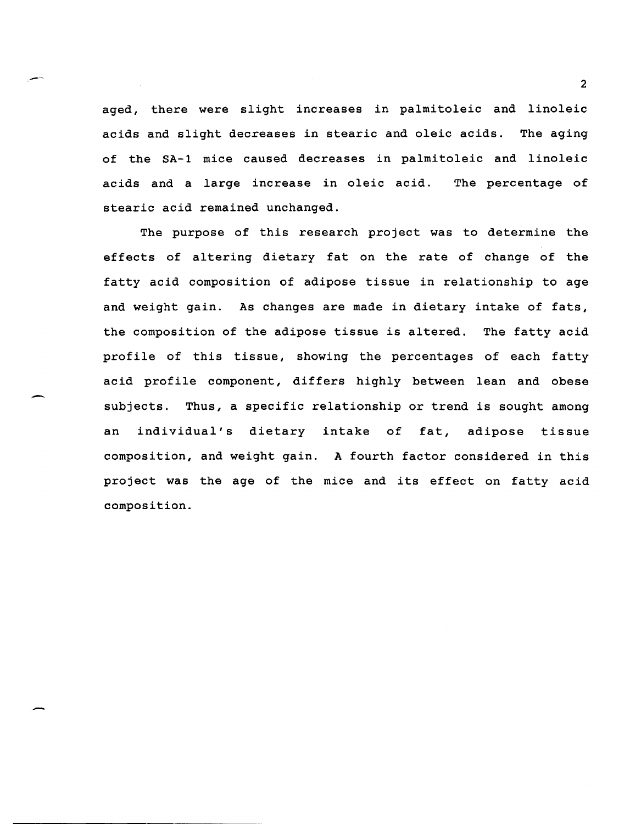aged, there were slight increases in palmitoleic and linoleic acids and slight decreases in stearic and oleic acids. The aging of the SA-1 mice caused decreases in palmitoleic and linoleic acids and a large increase in oleic acid. The percentage of stearic acid remained unchanged.

The purpose of this research project was to determine the effects of altering dietary fat on the rate of change of the fatty acid composition of adipose tissue in relationship to age and weight gain. As changes are made in dietary intake of fats, the composition of the adipose tissue is altered. The fatty acid profile of this tissue, showing the percentages of each fatty acid profile component, differs highly between lean and obese subjects. Thus, a specific relationship or trend is sought among an individual's dietary intake of fat, adipose tissue composition, and weight gain. A fourth factor considered in this project was the age of the mice and its effect on fatty acid composition.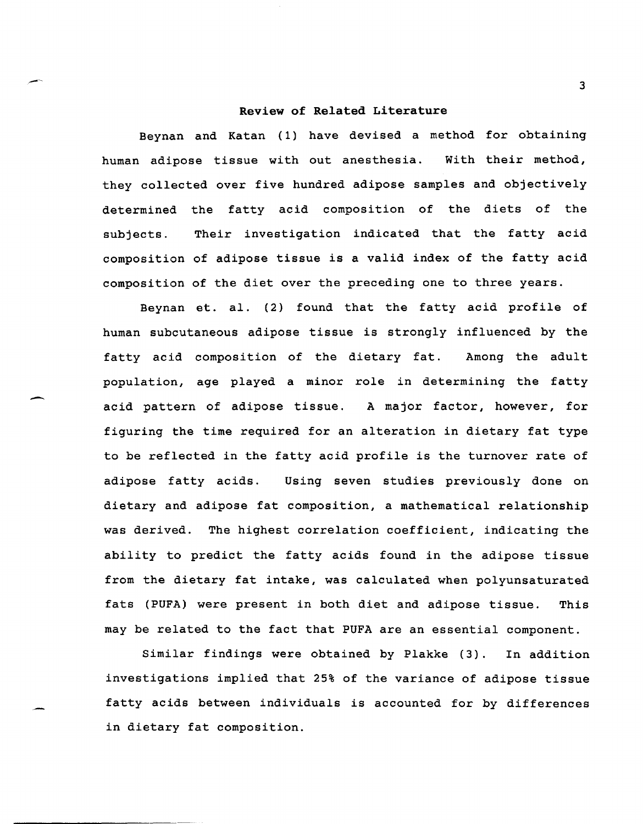### Review of Related Literature

---

-

Beynan and Katan (1) have devised a method for obtaining human adipose tissue with out anesthesia. With their method, they collected over five hundred adipose samples and objectively determined the fatty acid composition of the diets of the subjects. Their investigation indicated that the fatty acid composition of adipose tissue is a valid index of the fatty acid composition of the diet over the preceding one to three years.

Beynan et. al. (2) found that the fatty acid profile of human subcutaneous adipose tissue is strongly influenced by the fatty acid composition of the dietary fat. Among the adult population, age played a minor role in determining the fatty acid pattern of adipose tissue. A major factor, however, for figuring the time required for an alteration in dietary fat type to be reflected in the fatty acid profile is the turnover rate of adipose fatty acids. Using seven studies previously done on dietary and adipose fat composition, a mathematical relationship was derived. The highest correlation coefficient, indicating the ability to predict the fatty acids found in the adipose tissue from the dietary fat intake, was calculated when polyunsaturated fats (PUFA) were present in both diet and adipose tissue. This may be related to the fact that PUFA are an essential component.

Similar findings were obtained by Plakke (3). In addition investigations implied that 25% of the variance of adipose tissue fatty acids between individuals is accounted for by differences in dietary fat composition.

3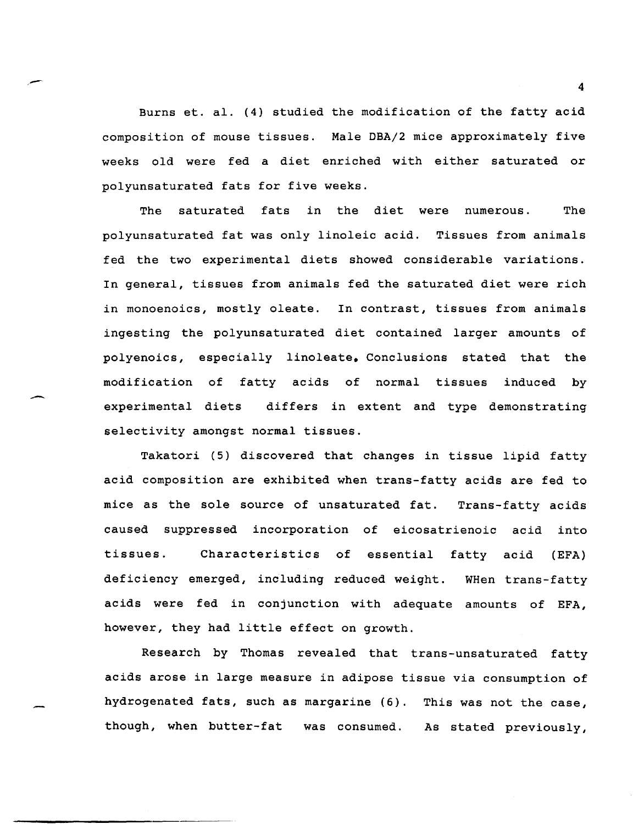Burns et. al. (4) studied the modification of the fatty acid composition of mouse tissues. Male DBA/2 mice approximately five weeks old were fed a diet enriched with either saturated or polyunsaturated fats for five weeks.

The saturated fats in the diet were numerous. The polyunsaturated fat was only linoleic acid. Tissues from animals fed the two experimental diets showed considerable variations. In general, tissues from animals fed the saturated diet were rich in monoenoics, mostly oleate. In contrast, tissues from animals ingesting the polyunsaturated diet contained larger amounts of polyenoics, especially linoleate. Conclusions stated that the modification of fatty acids of normal tissues induced by experimental diets differs in extent and type demonstrating selectivity amongst normal tissues.

-

Takatori (5) discovered that changes in tissue lipid fatty acid composition are exhibited when trans-fatty acids are fed to mice as the sole source of unsaturated fat. Trans-fatty acids caused suppressed incorporation of eicosatrienoic acid into tissues. Characteristics of essential fatty acid (EFA) deficiency emerged, including reduced weight. acids were fed in conjunction with adequate amounts of EFA, however, they had little effect on growth. WHen trans-fatty

Research by Thomas revealed that trans-unsaturated fatty acids arose in large measure in adipose tissue via consumption of hydrogenated fats, such as margarine (6). This was not the case, though, when butter-fat was consumed. As stated previously,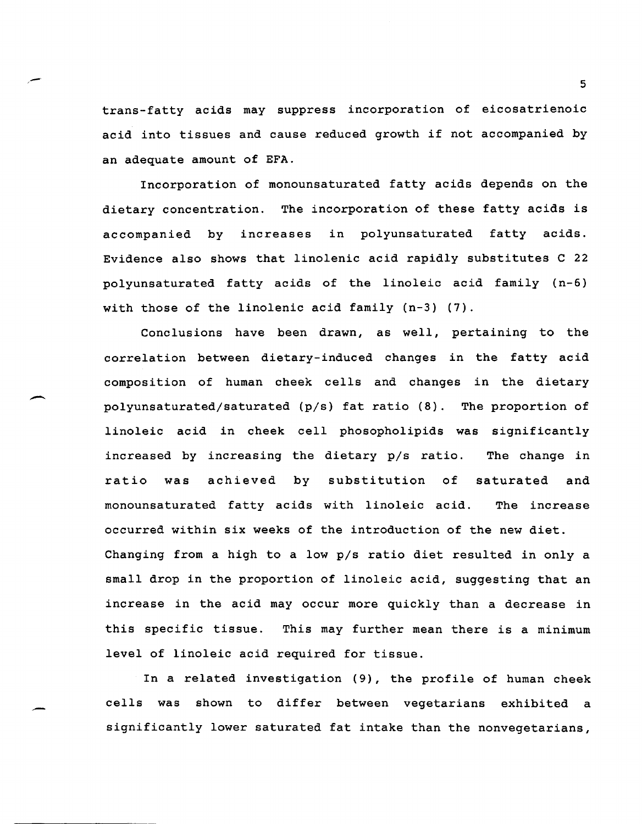trans-fatty acids may suppress incorporation of eicosatrienoic acid into tissues and cause reduced growth if not accompanied by an adequate amount of EFA.

,-

 $\overline{\phantom{a}}$ 

Incorporation of monounsaturated fatty acids depends on the dietary concentration. The incorporation of these fatty acids is accompanied by increases in polyunsaturated fatty acids. Evidence also shows that linolenic acid rapidly substitutes C 22 polyunsaturated fatty acids of the linoleic acid family (n-6) with those of the linolenic acid family (n-3) (7).

Conclusions have been drawn, as well, pertaining to the correlation between dietary-induced changes in the fatty acid composition of human cheek cells and changes in the dietary polyunsaturated/saturated (p/s) fat ratio (8). The proportion of linoleic acid in cheek cell phosopholipids was significantly increased by increasing the dietary  $p/s$  ratio. ratio was achieved by substitution of monounsaturated fatty acids with linoleic acid. The change in saturated and The increase occurred within six weeks of the introduction of the new diet. Changing from a high to a low  $p/s$  ratio diet resulted in only a small drop in the proportion of linoleic acid, suggesting that an increase in the acid may occur more quickly than a decrease in this specific tissue. This may further mean there is a minimum level of linoleic acid required for tissue.

In a related investigation (9), the profile of human cheek cells was shown to differ between vegetarians exhibited a significantly lower saturated fat intake than the nonvegetarians,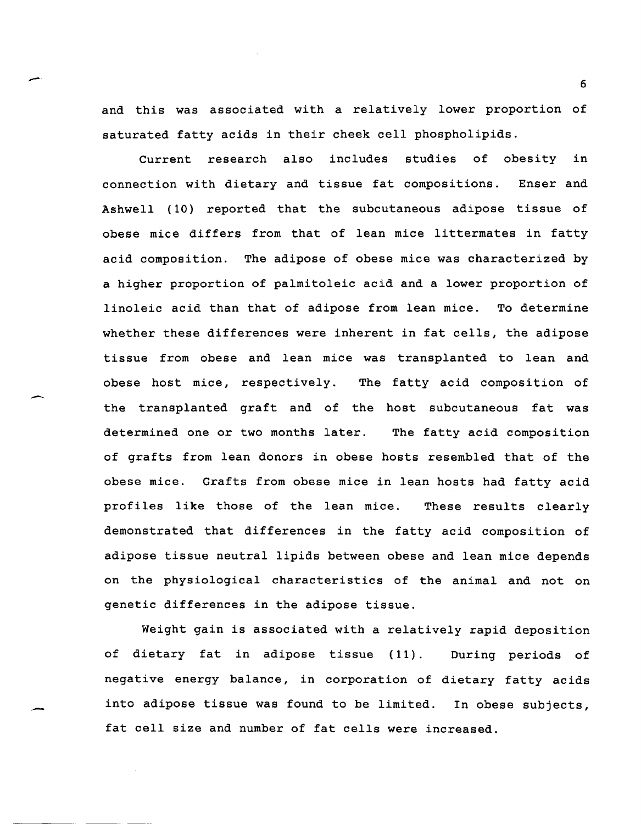and this was associated with a relatively lower proportion of saturated fatty acids in their cheek cell phospholipids.

Current research also includes studies of obesity in connection with dietary and tissue fat compositions. Enser and Ashwell (10) reported that the subcutaneous adipose tissue of obese mice differs from that of lean mice littermates in fatty acid composition. The adipose of obese mice was characterized by a higher proportion of palmitoleic acid and a lower proportion of linoleic acid than that of adipose from lean mice. To determine whether these differences were inherent in fat cells, the adipose tissue from obese and lean mice was transplanted to lean and obese host mice, respectively. The fatty acid composition of the transplanted graft and of the host subcutaneous fat was determined one or two months later. The fatty acid composition of grafts from lean donors in obese hosts resembled that of the obese mice. Grafts from obese mice in lean hosts had fatty acid profiles like those of the lean mice. These results clearly demonstrated that differences in the fatty acid composition of adipose tissue neutral lipids between obese and lean mice depends on the physiological characteristics of the animal and not on genetic differences in the adipose tissue.

--

Weight gain is associated with a relatively rapid deposition of dietary fat in adipose tissue (11). During periods of negative energy balance, in corporation of dietary fatty acids into adipose tissue was found to be limited. In obese subjects, fat cell size and number of fat cells were increased.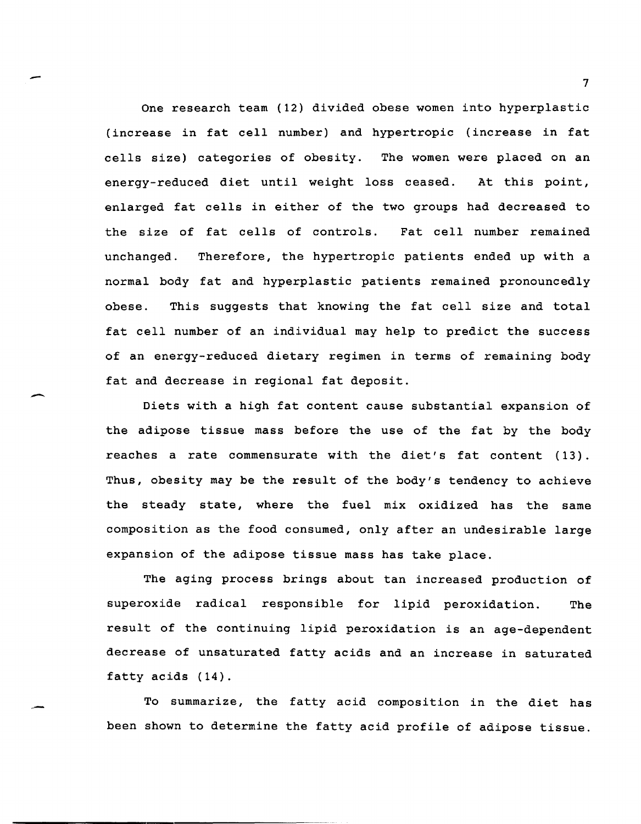One research team (12) divided obese women into hyperplastic (increase in fat cell number) and hypertropic (increase in fat cells size) categories of obesity. The women were placed on an energy-reduced diet until weight loss ceased. At this point, enlarged fat cells in either of the two groups had decreased to the size of fat cells of controls. Fat cell number remained unchanged. Therefore, the hypertropic patients ended up with a normal body fat and hyperplastic patients remained pronouncedly obese. This suggests that knowing the fat cell size and total fat cell number of an individual may help to predict the success of an energy-reduced dietary regimen in terms of remaining body fat and decrease in regional fat deposit.

-

-

-

Diets with a high fat content cause substantial expansion of the adipose tissue mass before the use of the fat by the body reaches a rate commensurate with the diet's fat content (13). Thus, obesity may be the result of the body's tendency to achieve the steady state, where the fuel mix oxidized has the same composition as the food consumed, only after an undesirable large expansion of the adipose tissue mass has take place.

The aging process brings about tan increased production of superoxide radical responsible for lipid peroxidation. The result of the continuing lipid peroxidation is an age-dependent decrease of unsaturated fatty acids and an increase in saturated fatty acids (14).

To summarize, the fatty acid composition in the diet has been shown to determine the fatty acid profile of adipose tissue.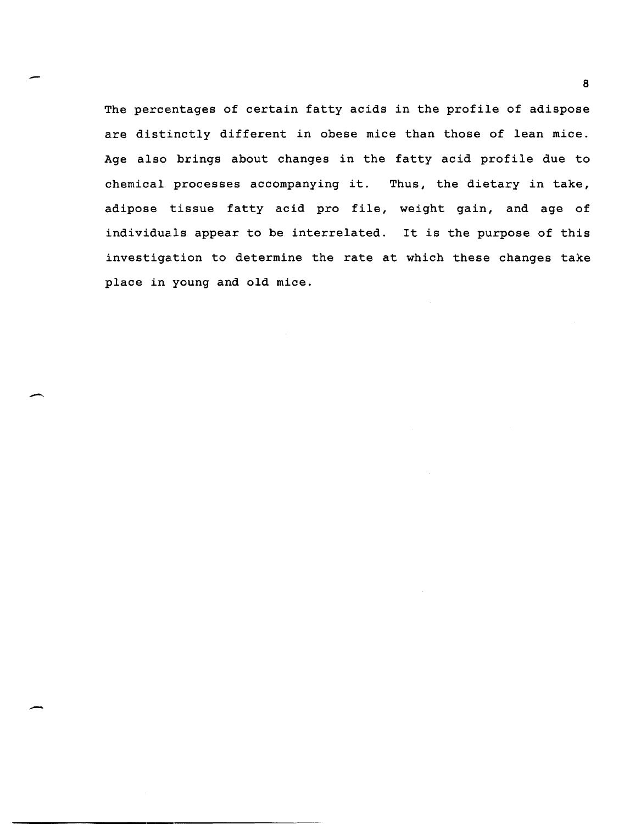The percentages of certain fatty acids in the profile of adispose are distinctly different in obese mice than those of lean mice. Age also brings about changes in the fatty acid profile due to chemical processes accompanying it. Thus, the dietary in take, adipose tissue fatty acid pro file, weight gain, and age of individuals appear to be interrelated. It is the purpose of this investigation to determine the rate at which these changes take place in young and old mice.

8

-

-.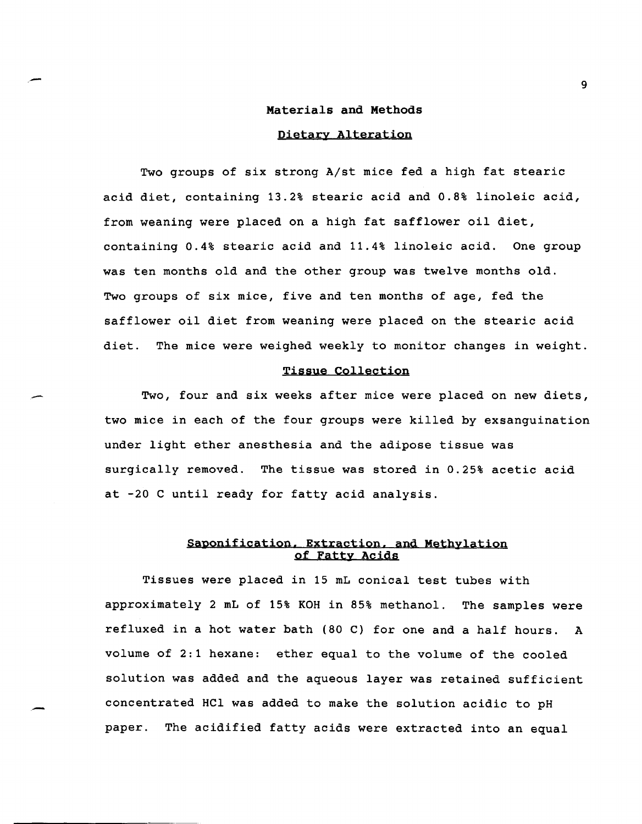## Materials and Methods

## Dietary Alteration

Two groups of six strong A/st mice fed a high fat stearic acid diet, containing 13.2% stearic acid and 0.8% linoleic acid, from weaning were placed on a high fat safflower oil diet, containing 0.4% stearic acid and 11.4% linoleic acid. One group was ten months old and the other group was twelve months old. Two groups of six mice, five and ten months of age, fed the safflower oil diet from weaning were placed on the stearic acid diet. The mice were weighed weekly to monitor changes in weight.

### Tissue Collection

--

Two, four and six weeks after mice were placed on new diets, two mice in each of the four groups were killed by exsanguination under light ether anesthesia and the adipose tissue was surgically removed. The tissue was stored in 0.25% acetic acid at -20 C until ready for fatty acid analysis.

## Saponification. Extraction. and Methylation of Fatty Acids

Tissues were placed in 15 mL conical test tubes with approximately 2 mL of 15% KOH in 85% methanol. The samples were refluxed in a hot water bath (80 C) for one and a half hours. A volume of 2:1 hexane: ether equal to the volume of the cooled solution was added and the aqueous layer was retained sufficient concentrated HCI was added to make the solution acidic to pH paper. The acidified fatty acids were extracted into an equal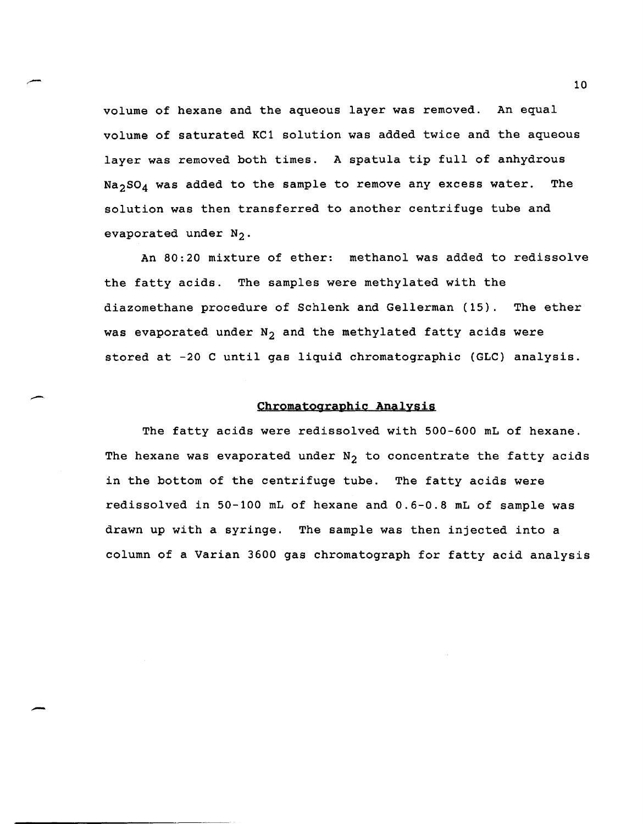volume of hexane and the aqueous layer was removed. An equal volume of saturated KC1 solution was added twice and the aqueous layer was removed both times. A spatula tip full of anhydrous  $Na<sub>2</sub>SO<sub>4</sub>$  was added to the sample to remove any excess water. The solution was then transferred to another centrifuge tube and evaporated under  $N_2$ .

An 80:20 mixture of ether: methanol was added to redissolve the fatty acids. The samples were methylated with the diazomethane procedure of Schlenk and Gellerman (15). The ether was evaporated under  $N_2$  and the methylated fatty acids were stored at -20 C until gas liquid chromatographic (GLC) analysis.

## Chromatographic Analysis

The fatty acids were redissolved with 500-600 mL of hexane. The hexane was evaporated under  $N_2$  to concentrate the fatty acids in the bottom of the centrifuge tube. The fatty acids were redissolved in 50-100 mL of hexane and 0.6-0.8 mL of sample was drawn up with a syringe. The sample was then injected into a column of a Varian 3600 gas chromatograph for fatty acid analysis

10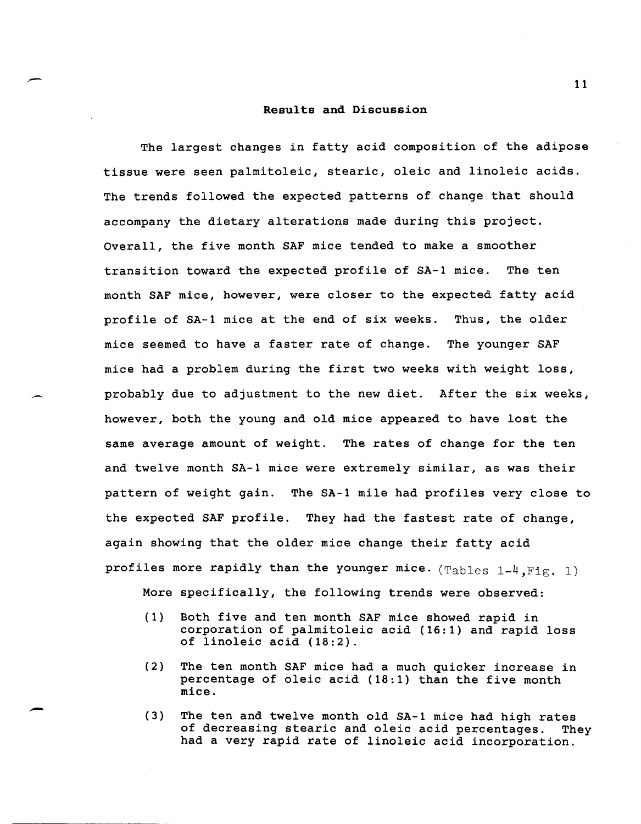#### Results and Discussion

The largest changes in fatty acid composition of the adipose tissue were seen palmitoleic, stearic, oleic and linoleic acids. The trends followed the expected patterns of change that should accompany the dietary alterations made during this project. Overall, the five month SAF mice tended to make a smoother transition toward the expected profile of SA-1 mice. The ten month SAF mice, however, were closer to the expected fatty acid profile of SA-1 mice at the end of six weeks. Thus, the older mice seemed to have a faster rate of change. The younger SAF mice had a problem during the first two weeks with weight loss, probably due to adjustment to the new diet. After the six weeks, however, both the young and old mice appeared to have lost the same average amount of weight. The rates of change for the ten and twelve month SA-1 mice were extremely similar, as was their pattern of weight gain. The SA-1 mile had profiles very close to the expected SAF profile. They had the fastest rate of change, again showing that the older mice change their fatty acid profiles more rapidly than the younger mice.  $(T_{\text{ables 1-4,Fig. 1}})$ 

More specifically, the following trends were observed:

- (1) Both five and ten month SAF mice showed rapid in corporation of palmitoleic acid (16:1) and rapid loss of linoleic acid (18:2).
- (2) The ten month SAF mice had a much quicker increase in percentage of oleic acid (18:1) than the five month mice.
- (3) The ten and twelve month old SA-1 mice had high rates of decreasing stearic and oleic acid percentages. They had a very rapid rate of linoleic acid incorporation.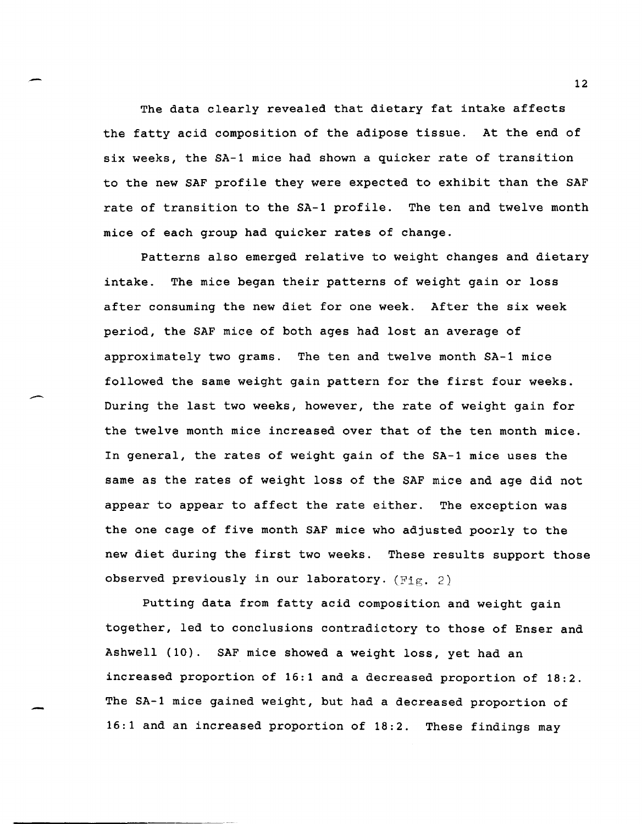The data clearly revealed that dietary fat intake affects the fatty acid composition of the adipose tissue. At the end of six weeks, the SA-1 mice had shown a quicker rate of transition to the new SAF profile they were expected to exhibit than the SAF rate of transition to the SA-1 profile. The ten and twelve month mice of each group had quicker rates of change.

Patterns also emerged relative to weight changes and dietary intake. The mice began their patterns of weight gain or loss after consuming the new diet for one week. After the six week period, the SAF mice of both ages had lost an average of approximately two grams. The ten and twelve month SA-1 mice followed the same weight gain pattern for the first four weeks. During the last two weeks, however, the rate of weight gain for the twelve month mice increased over that of the ten month mice. In general, the rates of weight gain of the SA-1 mice uses the same as the rates of weight loss of the SAF mice and age did not appear to appear to affect the rate either. The exception was the one cage of five month SAF mice who adjusted poorly to the new diet during the first two weeks. These results support those observed previously in our laboratory.  $(Fi \rho, 2)$ 

Putting data from fatty acid composition and weight gain together, led to conclusions contradictory to those of Enser and Ashwell (10). SAF mice showed a weight loss, yet had an increased proportion of 16:1 and a decreased proportion of 18:2. The SA-1 mice gained weight, but had a decreased proportion of 16:1 and an increased proportion of 18:2. These findings may

12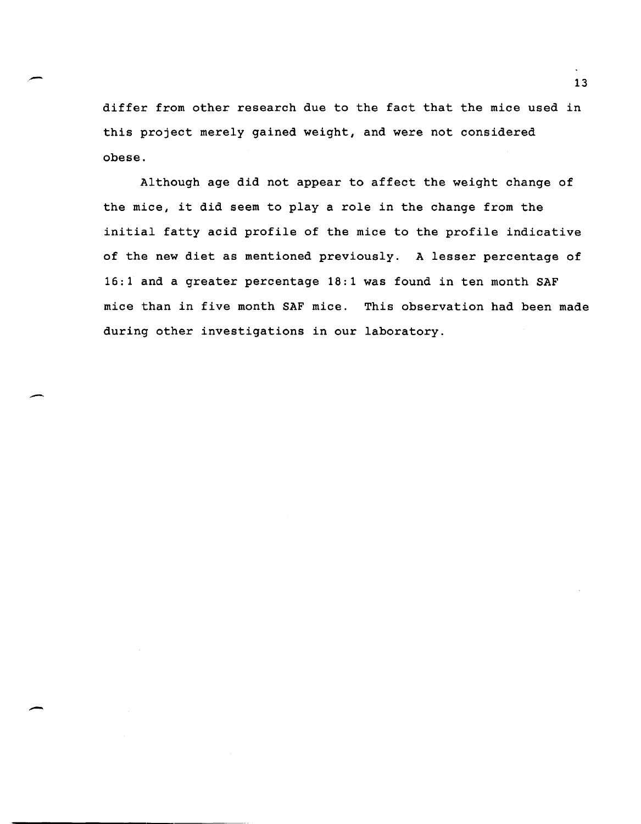differ from other research due to the fact that the mice used in this project merely gained weight, and were not considered obese.

,-

-

-

Although age did not appear to affect the weight change of the mice, it did seem to playa role in the change from the initial fatty acid profile of the mice to the profile indicative of the new diet as mentioned previously. A lesser percentage of 16:1 and a greater percentage 18:1 was found in ten month SAF mice than in five month SAF mice. This observation had been made during other investigations in our laboratory.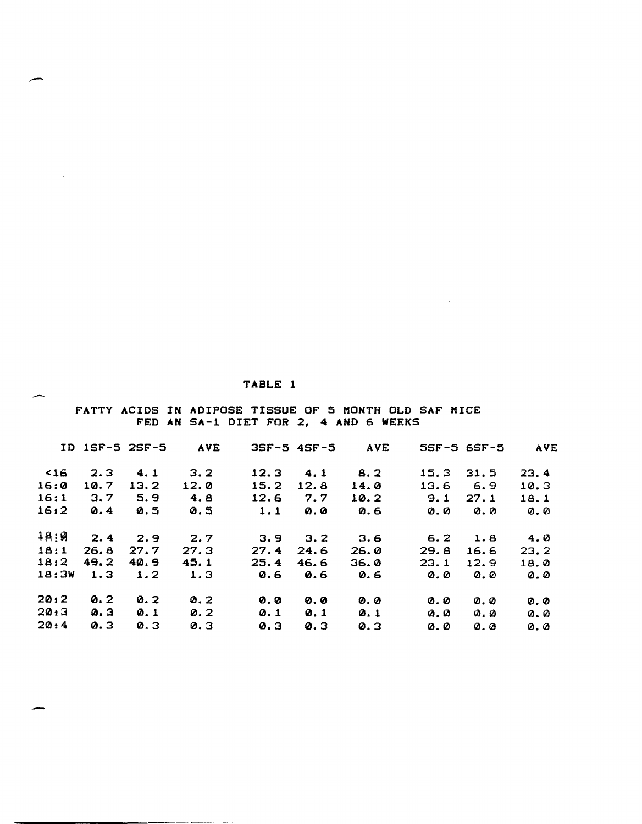## TABLE 1

-

 $\sim$ 

-

## FATTY ACIDS IN ADIPOSE TISSUE OF 5 MONTH OLD SAF MICE FED AN SA-1 DIET FOR 2, 4 AND 6 WEEKS

 $\mathcal{L}^{\mathcal{L}}$ 

|       |      | ID 1SF-5 2SF-5 | <b>AVE</b> |      | $3SF-5$ $4SF-5$ | <b>AVE</b> |      | $SSF-5$ $6SF-5$ | <b>AVE</b> |
|-------|------|----------------|------------|------|-----------------|------------|------|-----------------|------------|
| -416  | 2.3  | 4.1            | 3.2        | 12.3 | 4.1             | 8.2        | 15.3 | 31.5            | 23.4       |
| 16:0  | 10.7 | 13.2           | 12.0       | 15.2 | 12.8            | 14.0       | 13.6 | 6.9             | 10.3       |
| 16:1  | 3.7  | 5.9            | 4.8        | 12.6 | 7.7             | 10.2       | 9.1  | 27.1            | 18.1       |
| 16:2  | 0.4  | 0.5            | 0.5        | 1.1  | 0.0             | 0.6        | 0.0  | 0.0             | 0.0        |
| 48:9  | 2.4  | 2.9            | 2.7        | 3.9  | 3.2             | 3.6        | 6.2  | 1.8             | 4. Ø       |
| 18:1  | 26.8 | 27.7           | 27.3       | 27.4 | 24.6            | 26.0       | 29.8 | 16.6            | 23.2       |
| 18:2  | 49.2 | 40.9           | 45.1       | 25.4 | 46.6            | 36.0       | 23.1 | 12.9            | 18.0       |
| 18:3W | 1.3  | 1.2            | 1.3        | 0.6  | 0.6             | 0.6        | ø. ø | 0.0             | 0.0        |
| 20:2  | 0.2  | 0.2            | 0.2        | 0.0  | 0.0             | ø.ø        | 0.0  | $QQ$ .          | 0.0        |
| 20:3  | Q, 3 | 0.1            | Q.2        | Q.1  | Q.1             | Q.1        | ø.ø  | 0. O            | Ø.Ø        |
| 20:4  | Q.3  | 0.3            | Q.3        | 0.3  | Q.3             | Q.3        | 0. O | 0.0             | 0.0        |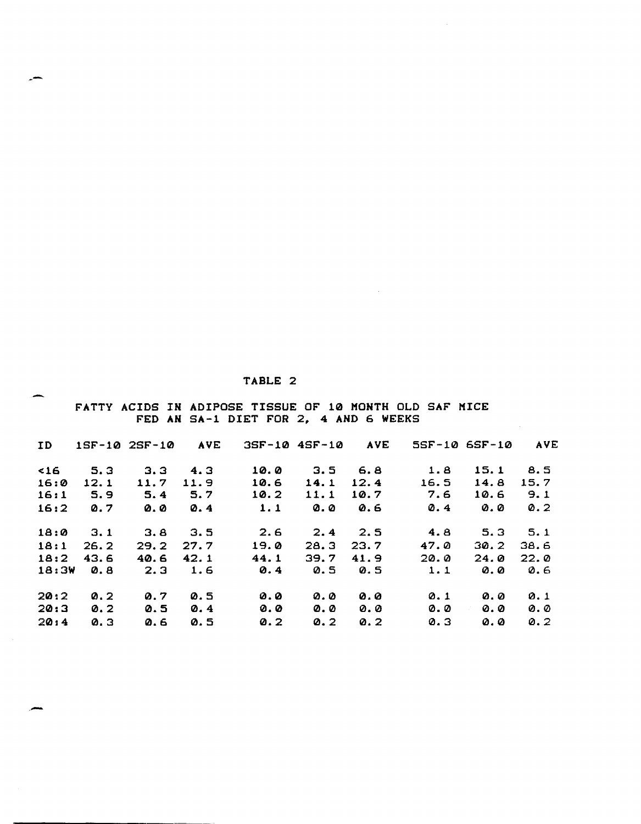## TABLE 2

~-

FATTY ACIDS IN ADIPOSE TISSUE OF 10 MONTH OLD SAF MICE FED AN SA-l DIET FOR 2, 4 AND 6 WEEKS

 $\sim$ 

| ID    |      | 1SF-10 2SF-10 | <b>AVE</b> | $35F-10$ $45F-10$ |      | <b>AVE</b> |                           | $5SF-106S$ F-10 | <b>AVE</b> |
|-------|------|---------------|------------|-------------------|------|------------|---------------------------|-----------------|------------|
| 516   | 5.3  | 3.3           | 4.3        | 10.0              | 3.5  | 6.8        | 1.8                       | 15.1            | 8.5        |
| 16:0  | 12.1 | 11.7          | 11.9       | 10.6              | 14.1 | 12.4       | 16.5                      | 14.8            | 15.7       |
| 16:1  | 5.9  | 5.4           | 5.7        | 10.2              | 11.1 | 10.7       | 7.6                       | 10.6            | 9.1        |
| 16:2  | 0.7  | 0.0           | Q.4        | 1.1               | 0.0  | 0.6        | Q.4                       | 0.0             | Q.2        |
| 18:0  | 3.1  | 3.8           | 3.5        | 2.6               | 2.4  | 2.5        | 4.8                       | 5.3             | 5.1        |
| 18:1  | 26.2 | 29.2          | 27.7       | 19.0              | 28.3 | 23.7       | 47.Q                      | 30.2            | 38.6       |
| 18:2  | 43.6 | 40.6          | 42.1       | 44.1              | 39.7 | 41.9       | 20.0                      | 24.0            | 22.0       |
| 18:3W | 0.8  | 2.3           | 1.6        | 0.4               | 0.5  | 0.5        | 1.1                       | 0.0             | 0.6        |
| 20:2  | Q.2  | 0.7           | 0.5        | 0.0               | Ø. Ø | Q. Q       | Q.1                       | 0.0             | Q.1        |
| 20:3  | Q.2  | 0.5           | Q.4        | 0.0               | Ø. Ø | 0.0        | 0.0                       | 0.0             | 0.0        |
| 20:4  | Q, 3 | 0.6           | 0.5        | Q.2               | Q.2  | Q.2        | $\boldsymbol{\alpha}$ . 3 | 0.0             | Q.2        |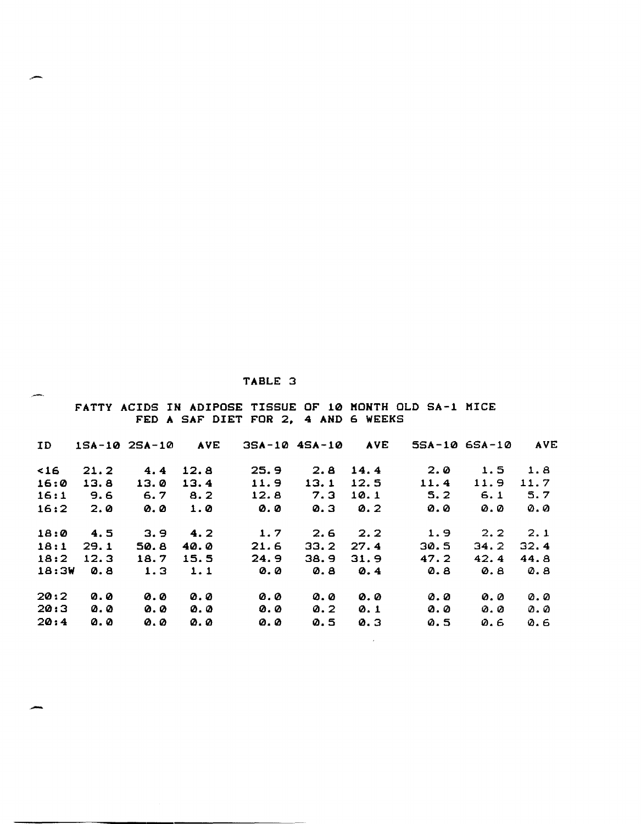| <b>TABLE</b> |  |
|--------------|--|
|--------------|--|

-,

-

FATTY ACIDS IN ADIPOSE TISSUE OF 10 MONTH OLD SA-1 MICE FED A SAF DIET FOR 2, 4 AND 6 WEEKS

| ID    |      | $1S_A - 102S_A - 10$ | <b>AVE</b> | 35A-10 45A-10 |      | <b>AVE</b>       |                   | $5SA-10$ $6SA-10$             | AVE        |
|-------|------|----------------------|------------|---------------|------|------------------|-------------------|-------------------------------|------------|
| 16    | 21.2 | 4.4                  | 12.8       | 25.9          | 2.8  | 14.4             | 2.0               | 1.5                           | 1.8        |
| 16:0  | 13.8 | 13.0                 | 13.4       | 11.9          | 13.1 | 12.5             | 11.4              | 11.9                          | 11.7       |
| 16:1  | 9.6  | 6.7                  | 8.2        | 12.8          | 7.3  | 10.1             | 5.2               | 6.1                           | 5.7        |
| 16:2  | 2.0  | 0.0                  | 1.0        | 0.0           | Q, 3 | Q <sub>1</sub>   | 0.0               | 0.0                           | 0.0        |
| 18:0  | 4.5  | 3.9                  | 4.2        | 1.7           | 2.6  | 2.2              | 1.9               | 2.2                           | 2.1        |
| 18:1  | 29.1 | 50.8                 | 40.O       | 21.6          | 33.2 | 27.4             | 30.5              | 34.2                          | 32.4       |
| 18:2  | 12.3 | 18.7                 | 15.5       | 24.9          | 38.9 | 31.9             | 47.2              | 42.4                          | 44.8       |
| 18:3W | 0. A | 1.3                  | 1.1        | o. o          | 0. B | Q.4              | 0. B              | $\boldsymbol{\mathsf{o}}$ . 8 | 0.8        |
| 20:2  | 0.0  | 0.0                  | 0. O       | 0.0           | 0.0  | 0.0              | 0.0               | 0. O                          | $QQ$ . $Q$ |
| 20:3  | 0.0  | 0.0                  | Ø. Ø       | 0.0           | Q.2  | Q.1              | 0.0               | ø. ø                          | QQ         |
| 20:4  | 0.0  | 0.0                  | ø.ø        | 0.0           | 0.5  | $\mathbf{a}$ . 3 | $\varnothing$ . 5 | 0.6                           | 0.6        |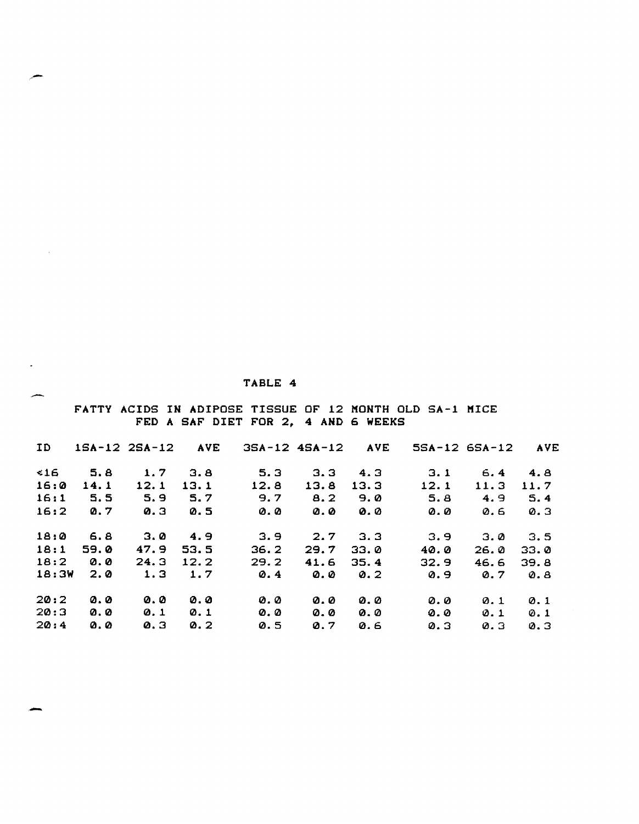| ᅩ | TABLE 4 |  |                                                                                                |  |  |  |  |  |  |  |  |
|---|---------|--|------------------------------------------------------------------------------------------------|--|--|--|--|--|--|--|--|
|   |         |  | FATTY ACIDS IN ADIPOSE TISSUE OF 12 MONTH OLD SA-1 MICE<br>FED A SAF DIET FOR 2, 4 AND 6 WEEKS |  |  |  |  |  |  |  |  |

| ID.   |            | $15A-12$ $25A-12$ | <b>AVE</b> |      | $35A-12$ $45A-12$ | <b>AVE</b> |      | $55A-12$ $65A-12$ | <b>AVE</b>       |
|-------|------------|-------------------|------------|------|-------------------|------------|------|-------------------|------------------|
| 516   | 5.8        | 1.7               | 3.8        | 5.3  | 3.3               | 4.3        | 3.1  | 6.4               | 4.8              |
| 16:0  | 14.1       | 12.1              | 13.1       | 12.8 | 13.8              | 13.3       | 12.1 | 11.3              | 11.7             |
| 16:1  | 5.5        | 5.9               | 5.7        | 9.7  | 8.2               | 9.0        | 5.8  | 4.9               | 5.4              |
| 16:2  | Q.7        | Q.3               | 0.5        | 0.0  | 0. O              | 0.0        | 0.0  | 0.6               | Q.3              |
| 18:0  | 6.8        | 3.0               | 4.9        | 3.9  | 2.7               | 3.3        | 3.9  | 3.0               | 3.5              |
| 18:1  | 59.0       | 47.9              | 53.5       | 36.2 | 29.7              | 33.0       | 40.0 | 26.0              | 33.0             |
| 18:2  | 0.0        | 24.3              | 12.2       | 29.2 | 41.6              | 35.4       | 32.9 | 46.6              | 39.8             |
| 18:3W | 2.0        | 1.3               | 1.7        | Q.4  | 0.0               | Q.2        | 0.9  | Q.7               | $\mathbf{0}$ . B |
| 20:2  | <b>0.0</b> | Ø. Ø              | 0.0        | 0.0  | <b>0.0</b>        | 0.0        | 0.0  | Q.1               | Q.1              |
| 20:3  | 0.0        | Q.1               | Q.1        | 0.0  | 0. O              | 0.0        | 0.0  | 0.1               | 0.1              |
| 20:4  | 0.0        | Q.3               | Q.2        | 0.5  | Q.7               | 0.6        | Q.3  | Q.3               | Q.3              |

-

 $\sim$ 

# TABLE 4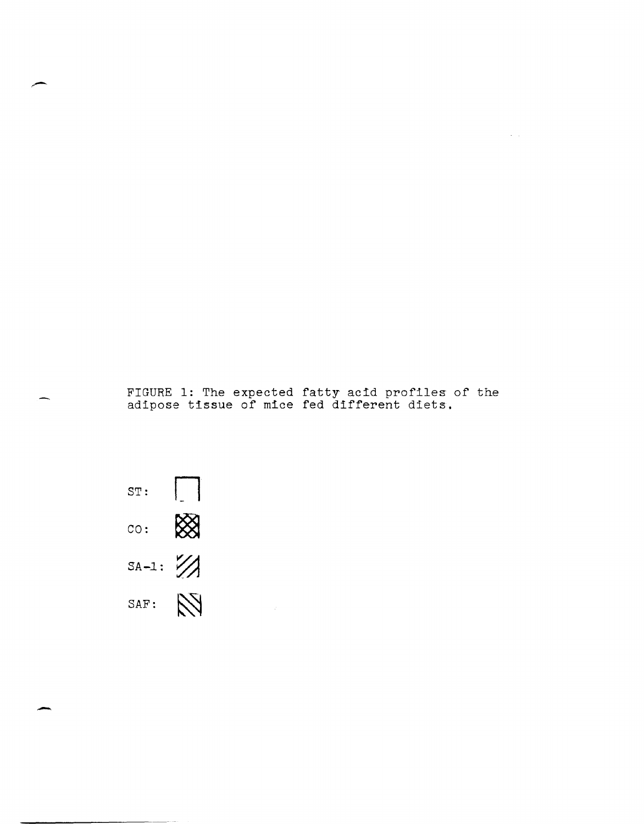FIGURE 1: The expected fatty acid profiles of the adipose tissue of mice fed different diets,

 $\Delta \sim 10^5$ 

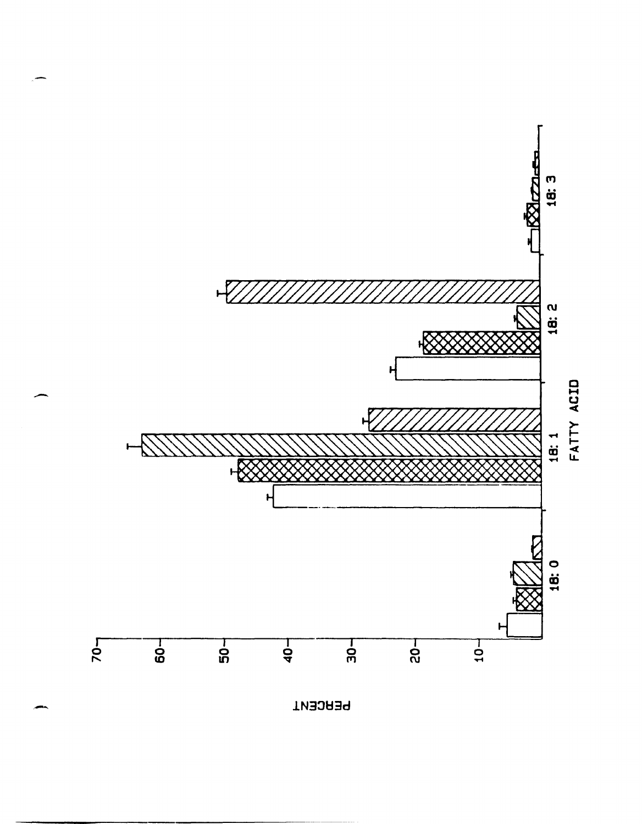

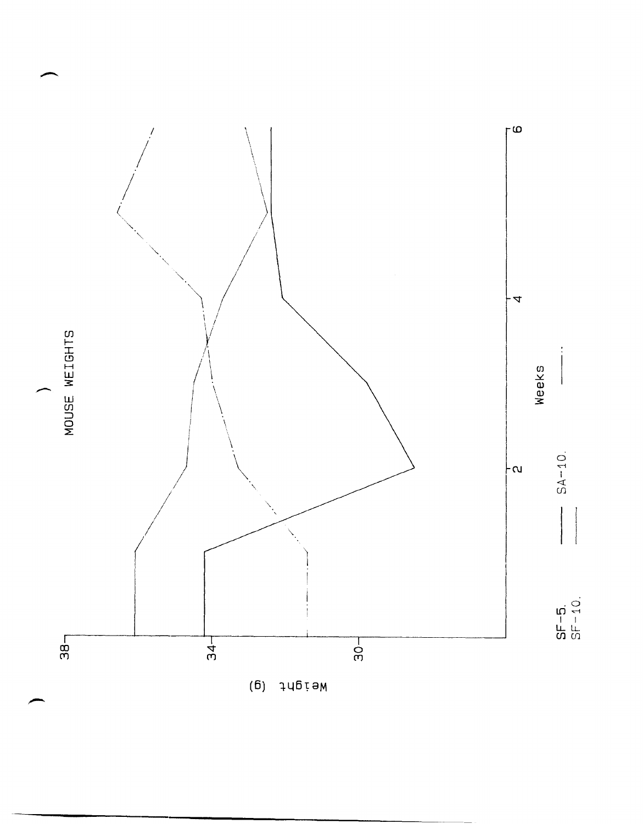

**Adgiaw** 

 $(6)$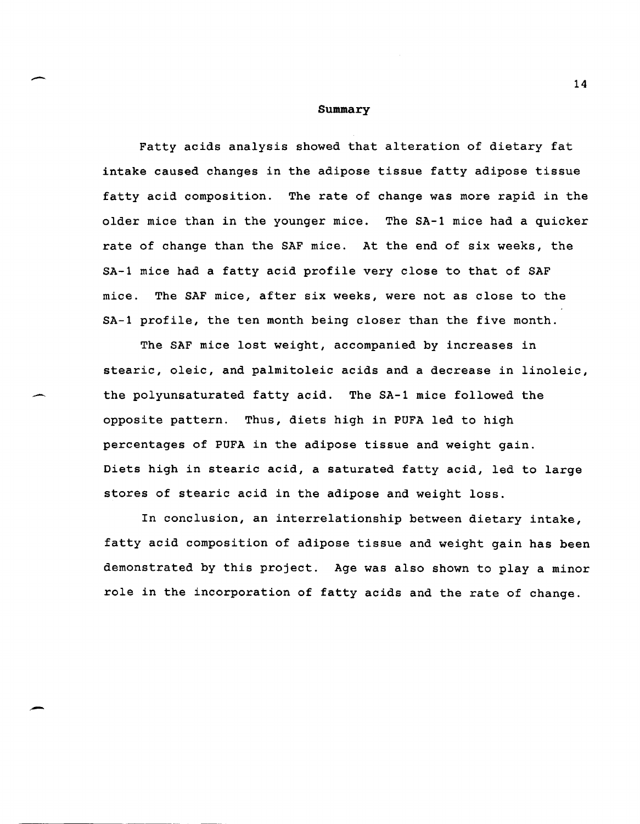#### **Summary**

Fatty acids analysis showed that alteration of dietary fat intake caused changes in the adipose tissue fatty adipose tissue fatty acid composition. The rate of change was more rapid in the older mice than in the younger mice. The SA-1 mice had a quicker rate of change than the SAF mice. At the end of six weeks, the SA-1 mice had a fatty acid profile very close to that of SAF mice. The SAF mice, after six weeks, were not as close to the SA-1 profile, the ten month being closer than the five month.

The SAF mice lost weight, accompanied by increases in stearic, oleic, and palmitoleic acids and a decrease in linoleic, the polyunsaturated fatty acid. The SA-1 mice followed the opposite pattern. Thus, diets high in PUFA led to high percentages of PUFA in the adipose tissue and weight gain. Diets high in stearic acid, a saturated fatty acid, led to large stores of stearic acid in the adipose and weight loss.

In conclusion, an interrelationship between dietary intake, fatty acid composition of adipose tissue and weight gain has been demonstrated by this project. Age was also shown to playa minor role in the incorporation of fatty acids and the rate of change.

 $\sim$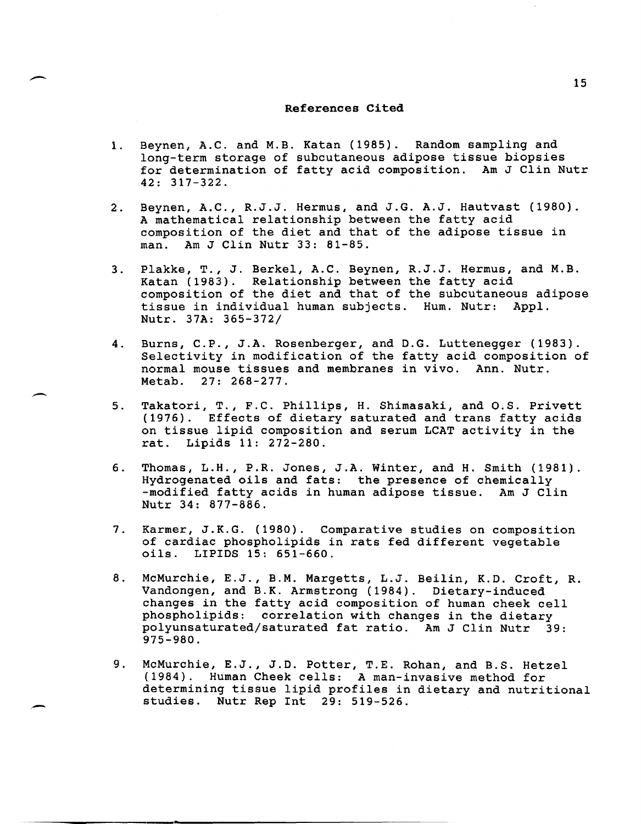#### **References Cited**

--

. -

- 1. Beynen, A.C. and M.B. Katan (1985). Random sampling and long-term storage of subcutaneous adipose tissue biopsies for determination of fatty acid composition. Am J Clin Nutr 42: 317-322.
- 2. Beynen, A.C., R.J.J. Hermus, and J.G. A.J. Hautvast (1980). A mathematical relationship between the fatty acid composition of the diet and that of the adipose tissue in man. Am J Clin Nutr 33: 81-85.
- 3. Plakke, T., J. Berkel, A.C. Beynen, R.J.J. Hermus, and M.B. Katan (1983). Relationship between the fatty acid composition of the diet and that of the subcutaneous adipose tissue in individual human subjects. Hum. Nutr: Appl. Nutr. 37A: 365-372/
- 4. Burns, C.P., J.A. Rosenberger, and D.G. Luttenegger (1983). Selectivity in modification of the fatty acid composition of normal mouse tissues and membranes in vivo. Ann. Nutr. Metab. 27: 268-277 .
- 5. Takatori, T., F.C. Phillips, H. Shimasaki, and 0.5. Privett (1976). Effects of dietary saturated and trans fatty acids on tissue lipid composition and serum LCAT activity in the rat. Lipids 11: 272-280.
- 6. Thomas, L.H., P.R. Jones, J.A. Winter, and H. Smith (1981). Hydrogenated oils and fats: the presence of chemically -modified fatty acids in human adipose tissue. Am J Clin Nutr 34: 877-886.
- 7. Karmer, J.K.G. (1980). Comparative studies on composition of cardiac phospholipids in rats fed different vegetable oils. LIPIDS 15: 651-660.
- 8. McMurchie, E.J., B.M. Margetts, L.J. Beilin, K.D. Croft, R. Vandongen, and B.K. Armstrong (1984). Dietary-induced changes in the fatty acid composition of human cheek cell phospholipids: correlation with changes in the dietary polyunsaturated/saturated fat ratio. Am J Clin Nutr 39: 975-980.
- 9. McMurchie, E.J., J.D. Potter, T.E. Rohan, and B.S. Hetzel (1984). Human Cheek cells: A man-invasive method for determining tissue lipid profiles in dietary and nutritional studies. Nutr Rep Int 29: 519-526.